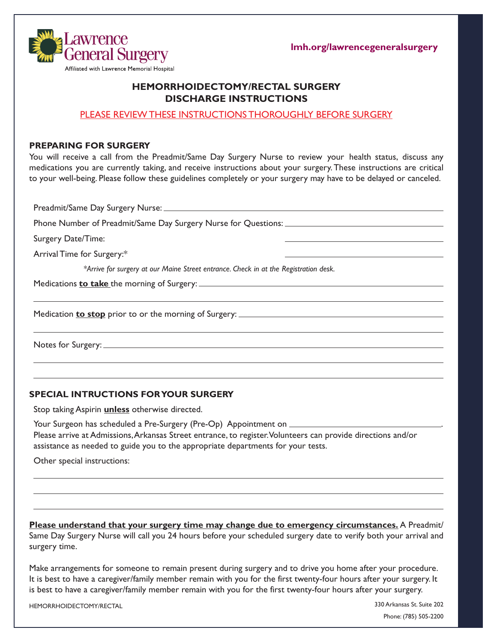

**lmh.org/lawrencegeneralsurgery**

# **HEMORRHOIDECTOMY/RECTAL SURGERY DISCHARGE INSTRUCTIONS**

### PLEASE REVIEW THESE INSTRUCTIONS THOROUGHLY BEFORE SURGERY

#### **PREPARING FOR SURGERY**

You will receive a call from the Preadmit/Same Day Surgery Nurse to review your health status, discuss any medications you are currently taking, and receive instructions about your surgery. These instructions are critical to your well-being. Please follow these guidelines completely or your surgery may have to be delayed or canceled.

Preadmit/Same Day Surgery Nurse: Phone Number of Preadmit/Same Day Surgery Nurse for Questions: Surgery Date/Time: Arrival Time for Surgery:\* *\*Arrive for surgery at our Maine Street entrance. Check in at the Registration desk.*  Medications **to take** the morning of Surgery: Medication **to stop** prior to or the morning of Surgery:

Notes for Surgery:

### **SPECIAL INTRUCTIONS FOR YOUR SURGERY**

Stop taking Aspirin **unless** otherwise directed.

Your Surgeon has scheduled a Pre-Surgery (Pre-Op) Appointment on \_\_\_\_\_\_\_\_\_ Please arrive at Admissions, Arkansas Street entrance, to register. Volunteers can provide directions and/or assistance as needed to guide you to the appropriate departments for your tests.

Other special instructions:

**Please understand that your surgery time may change due to emergency circumstances.** A Preadmit/ Same Day Surgery Nurse will call you 24 hours before your scheduled surgery date to verify both your arrival and surgery time.

Make arrangements for someone to remain present during surgery and to drive you home after your procedure. It is best to have a caregiver/family member remain with you for the first twenty-four hours after your surgery. It is best to have a caregiver/family member remain with you for the first twenty-four hours after your surgery.

HEMORRHOIDECTOMY/RECTAL

330 Arkansas St. Suite 202 Phone: (785) 505-2200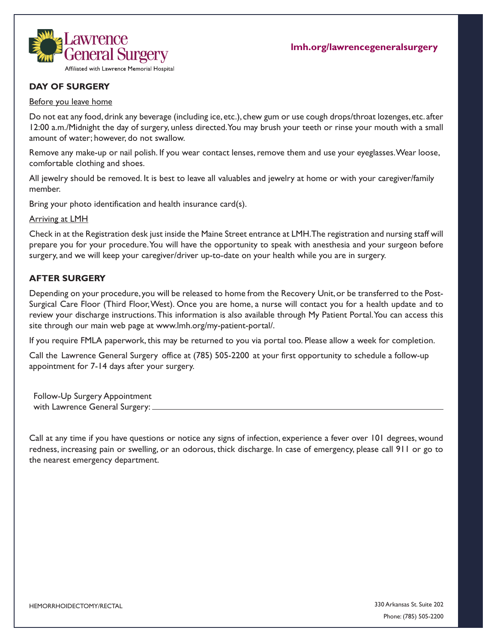

# **DAY OF SURGERY**

#### Before you leave home

Do not eat any food, drink any beverage (including ice, etc.), chew gum or use cough drops/throat lozenges, etc. after 12:00 a.m./Midnight the day of surgery, unless directed. You may brush your teeth or rinse your mouth with a small amount of water; however, do not swallow.

Remove any make-up or nail polish. If you wear contact lenses, remove them and use your eyeglasses. Wear loose, comfortable clothing and shoes.

All jewelry should be removed. It is best to leave all valuables and jewelry at home or with your caregiver/family member.

Bring your photo identification and health insurance card(s).

Arriving at LMH

Check in at the Registration desk just inside the Maine Street entrance at LMH. The registration and nursing staff will prepare you for your procedure. You will have the opportunity to speak with anesthesia and your surgeon before surgery, and we will keep your caregiver/driver up-to-date on your health while you are in surgery.

### **AFTER SURGERY**

Depending on your procedure, you will be released to home from the Recovery Unit, or be transferred to the Post-Surgical Care Floor (Third Floor, West). Once you are home, a nurse will contact you for a health update and to review your discharge instructions.This information is also available through My Patient Portal. You can access this site through our main web page at www.lmh.org/my-patient-portal/.

If you require FMLA paperwork, this may be returned to you via portal too. Please allow a week for completion.

Call the Lawrence General Surgery office at (785) 505-2200 at your first opportunity to schedule a follow-up appointment for 7-14 days after your surgery.

Follow-Up Surgery Appointment with Lawrence General Surgery:

Call at any time if you have questions or notice any signs of infection, experience a fever over 101 degrees, wound redness, increasing pain or swelling, or an odorous, thick discharge. In case of emergency, please call 911 or go to the nearest emergency department.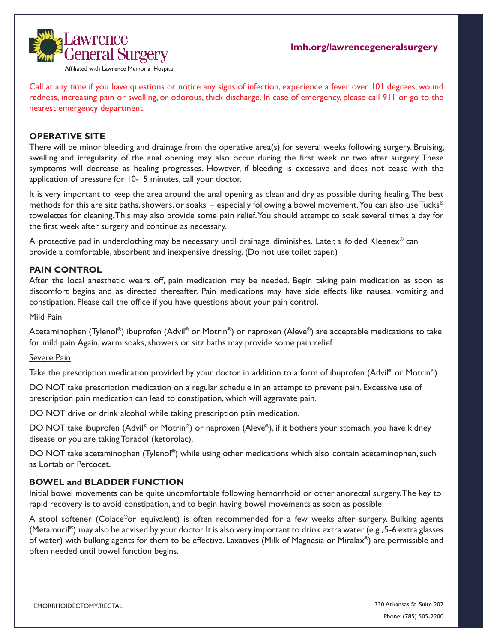

Call at any time if you have questions or notice any signs of infection, experience a fever over 101 degrees, wound redness, increasing pain or swelling, or odorous, thick discharge. In case of emergency, please call 911 or go to the nearest emergency department.

### **OPERATIVE SITE**

There will be minor bleeding and drainage from the operative area(s) for several weeks following surgery. Bruising, swelling and irregularity of the anal opening may also occur during the first week or two after surgery. These symptoms will decrease as healing progresses. However, if bleeding is excessive and does not cease with the application of pressure for 10-15 minutes, call your doctor.

It is very important to keep the area around the anal opening as clean and dry as possible during healing. The best methods for this are sitz baths, showers, or soaks – especially following a bowel movement. You can also use Tucks<sup>®</sup> towelettes for cleaning. This may also provide some pain relief. You should attempt to soak several times a day for the first week after surgery and continue as necessary.

A protective pad in underclothing may be necessary until drainage diminishes. Later, a folded Kleenex<sup>®</sup> can provide a comfortable, absorbent and inexpensive dressing. (Do not use toilet paper.)

### **PAIN CONTROL**

After the local anesthetic wears off, pain medication may be needed. Begin taking pain medication as soon as discomfort begins and as directed thereafter. Pain medications may have side effects like nausea, vomiting and constipation. Please call the office if you have questions about your pain control.

#### Mild Pain

Acetaminophen (Tylenol®) ibuprofen (Advil® or Motrin®) or naproxen (Aleve®) are acceptable medications to take for mild pain. Again, warm soaks, showers or sitz baths may provide some pain relief.

### Severe Pain

Take the prescription medication provided by your doctor in addition to a form of ibuprofen (Advil<sup>®</sup> or Motrin<sup>®</sup>).

DO NOT take prescription medication on a regular schedule in an attempt to prevent pain. Excessive use of prescription pain medication can lead to constipation, which will aggravate pain.

DO NOT drive or drink alcohol while taking prescription pain medication.

DO NOT take ibuprofen (Advil ® or Motrin®) or naproxen (Aleve®), if it bothers your stomach, you have kidney disease or you are taking Toradol (ketorolac).

DO NOT take acetaminophen (Tylenol®) while using other medications which also contain acetaminophen, such as Lortab or Percocet.

### **BOWEL and BLADDER FUNCTION**

Initial bowel movements can be quite uncomfortable following hemorrhoid or other anorectal surgery. The key to rapid recovery is to avoid constipation, and to begin having bowel movements as soon as possible.

A stool softener (Colace®or equivalent) is often recommended for a few weeks after surgery. Bulking agents (Metamucil<sup>®</sup>) may also be advised by your doctor. It is also very important to drink extra water (e.g., 5-6 extra glasses of water) with bulking agents for them to be effective. Laxatives (Milk of Magnesia or Miralax®) are permissible and often needed until bowel function begins.